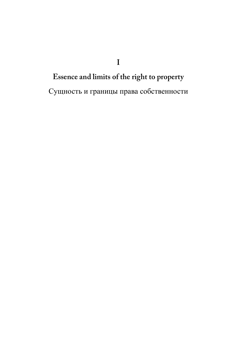Essence and limits of the right to property Сущность и границы права собственности

 $\mathbf I$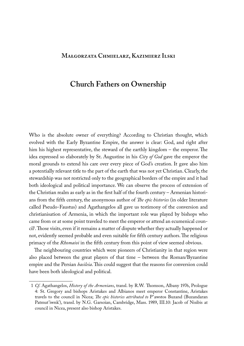## **Małgorzata Chmielarz, Kazimierz Ilski**

# **Church Fathers on Ownership**

Who is the absolute owner of everything? According to Christian thought, which evolved with the Early Byzantine Empire, the answer is clear: God, and right after him his highest representative, the steward of the earthly kingdom – the emperor. The idea expressed so elaborately by St. Augustine in his *City of God* gave the emperor the moral grounds to extend his care over every piece of God's creation. It gave also him a potentially relevant title to the part of the earth that was not yet Christian. Clearly, the stewardship was not restricted only to the geographical borders of the empire and it had both ideological and political importance. We can observe the process of extension of the Christian realm as early as in the first half of the fourth century – Armenian historians from the fifth century, the anonymous author of *The epic histories* (in older literature called Pseudo-Faustus) and Agathangelos all gave us testimony of the conversion and christianisation of Armenia, in which the important role was played by bishops who came from or at some point traveled to meet the emperor or attend an ecumenical council1 . Those visits, even if it remains a matter of dispute whether they actually happened or not, evidently seemed probable and even suitable for fifth century authors. The religious primacy of the *Rhomaioi* in the fifth century from this point of view seemed obvious.

The neighbouring countries which were pioneers of Christianity in that region were also placed between the great players of that time – between the Roman/Byzantine empire and the Persian *basileia*. This could suggest that the reasons for conversion could have been both ideological and political.

<sup>1</sup> *Cf*. Agathangelos, *History of the Armenians*, transl. by R.W. Thomson, Albany 1976, Prologue 4: St. Gregory and bishops Aristakes and Albianos meet emperor Constantine, Aristakes travels to the council in Nicea; *The epic histories attributed to* P'awstos Buzand (Buzandaran Patmut'iwnk'), transl. by N.G. Garsoïan, Cambridge, Mass. 1989, III.10: Jacob of Nisibis at council in Nicea, present also bishop Aristakes.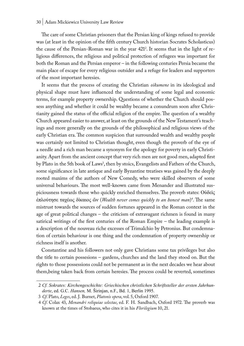The care of some Christian prisoners that the Persian king of kings refused to provide was (at least in the opinion of the fifth century Church historian Socrates Scholasticus) the cause of the Persian-Roman war in the year 421<sup>2</sup>. It seems that in the light of religious differences, the religious and political protection of refugees was important for both the Roman and the Persian emperor – in the following centuries Persia became the main place of escape for every religious outsider and a refuge for leaders and supporters of the most important heresies.

It seems that the process of creating the Christian *oikumene* in its ideological and physical shape must have influenced the understanding of some legal and economic terms, for example property ownership. Questions of whether the Church should possess anything and whether it could be wealthy became a conundrum soon after Christianity gained the status of the official religion of the empire. The question of a wealthy Church appeared easier to answer, at least on the grounds of the New Testament's teachings and more generally on the grounds of the philosophical and religious views of the early Christian era. The common suspicion that surrounded wealth and wealthy people was certainly not limited to Christian thought, even though the proverb of the eye of a needle and a rich man became a synonym for the apology for poverty in early Christianity. Apart from the ancient concept that very rich men are not good men, adapted first by Plato in the 5th book of Laws<sup>3</sup>, then by stoics, Evangelists and Fathers of the Church, some significance in late antique and early Byzantine treatises was gained by the deeply rooted maxims of the authors of New Comedy, who were skilled observers of some universal behaviours. The most well-known came from Menander and illustrated suspiciousness towards those who quickly enriched themselves. The proverb states: Οὐδεὶς ἐπλούτησε ταχέως δίκαιος ὤν (*Wealth never comes quickly to an honest man*) 4 . The same mistrust towards the sources of sudden fortunes appeared in the Roman context in the age of great political changes – the criticism of extravagant richmen is found in many satirical writings of the first centuries of the Roman Empire – the leading example is a description of the nouveau riche excesses of Trimalchio by Petronius. But condemnation of certain behaviour is one thing and the condemnation of property ownership or richness itself is another.

Constantine and his followers not only gave Christians some tax privileges but also the title to certain possesions – gardens, churches and the land they stood on. But the rights to those possessions could not be permanent as in the next decades we hear about them,being taken back from certain heresies. The process could be reverted, sometimes

<sup>2</sup> *Cf. Sokrates: Kirchengeschichte: Griechischen christlichen Schriftsteller der ersten Jahrhunderte*, ed. G.C. *Hansen,* M. Širinjan, n.F., Bd. 1, Berlin 1995.

<sup>3</sup> *Cf*. Plato, *Leges*, ed. J. Burnet, *Platonis opera*, vol. 5, Oxford 1907.

<sup>4</sup> *Cf*. Colax 43, *Menandri reliquiae selectae*, ed. F. H. Sandbach, Oxford 1972. The proverb was known at the times of Stobaeus, who cites it in his *Florilegium* 10, 21.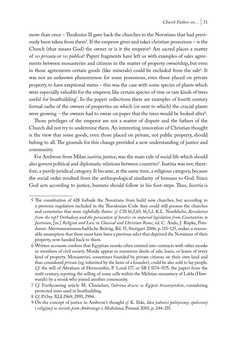more than once – Thodosius II gave back the churches to the Novatians that had previously been taken from them<sup>5</sup>. If the emperor gives and takes christian possesions – is the Church (that means God) the owner or is it the emperor? Are sacred places a matter of *res privata* or *res publica*? Papyri fragments have left us with examples of sales agreements between monasteries and citizens in the matter of property ownership, but even in those agreements certain goods (like minerals) could be excluded from the sale<sup>6</sup>. It was not an unknown phenomenon for some posessions, even those placed on private property, to have exeptional status – this was the case with some species of plants which were especially valuable for the emperor, like certain species of vine or rare kinds of trees useful for boatbuilding'. In the papyri collections there are examples of fourth century formal oaths of the owners of properties on which (or next to which) the crucial plants were growing – the owners had to swear on paper that the trees would be looked after<sup>8</sup>.

Those privileges of the emperor are not a matter of dispute and the fathers of the Church did not try to undermine them. An interesting innovation of Christian thought is the view that some goods, even those placed on private, not public property, should belong to all. The grounds for this change provided a new understanding of justice and community.

For Ambrose from Milan *iustitia*, justice, was the main rule of social life which should also govern political and diplomatic relations between countries<sup>9</sup>. Iustitia was not, therefore, a purely juridical category. It became, at the same time, a religious category, because the social order resulted from the anthropological similarity of humans to God. Since God acts according to justice, humans should follow in his foot-steps. Thus, *Iustitia* is

<sup>5</sup> The constitution of 428 forbade the Novatians from build new churches, but according to a previous regulation included in the Theodosian Code they could still possess the churches and cemeteries that were rightfully theirs: *cf*. *CTh* 16,5,65; 16,5,2. K.L. Noethlichs, *Revolution from the top? Orthodoxy and the persecution of heretics in imperial legislation from Constantine to Justinian*, [in:] *Religion and Law in Classical and Christian Rome*, ed. C. Ando, J. Rüpke, Potsdamer Altertumswissenschaftliche Beiträg, Bd. 15, Stuttgart 2006, p. 115–125, makes a reasonable assumption that there must have been a previous edict that deprived the Novatians of their property, now handed back to them.

<sup>6</sup> Written accounts confirm that Egyptian monks often entered into contracts with other monks or members of civil society. Monks appear in numerous deeds of sale, loans, or leases of every kind of property. Monasteries, sometimes founded by private citizens on their own land and thus considered *private* (eg. inherited by the heirs of a founder), could be also sold to lay people. *Cf*. the will of Abraham of Hermonthis, P. Lond 177, or SB I 5174–5175, the papyri from the sixth century, repoting the selling of some cells within the Melitian monastery of Labla (Hawwarah) by a monk who joined another community.

<sup>7</sup> *Cf*. Forthcoming article M. Chmielarz, *Ochrona drzew w Egipcie bizantyńskim*, considering protected trees used in boatbuilding.

<sup>8</sup> *Cf*. P.Oxy. XLI 2969, 2993, 2994.

<sup>9</sup> On the concept of justice in Ambrose's thought *cf*. K. Ilski, *Idea jedności politycznej, społecznej i religijnej w świetle pism Ambrożego z Mediolanu*, Poznań 2001, p. 244–255.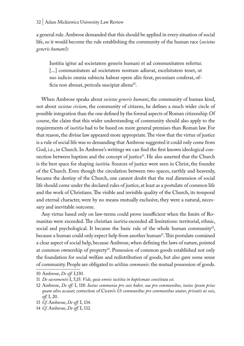a general rule. Ambrose demanded that this should be applied in every situation of social life, so it would become the rule establishing the community of the human race (*societas generis humani*):

Iustitia igitur ad societatem generis humani et ad communitatem refertur. [...] communitatem ad societatem nostram adiuvat, excelsitatem tenet, ut suo iudicio omnia subiecta habeat opem aliis ferat, pecuniam conferat, officia non abnuat, pericula suscipiat aliena<sup>10</sup>.

When Ambrose speaks about *societas generis humani*, the community of human kind, not about *societas civium*, the community of citizens, he defines a much wider circle of possible integration than the one defined by the formal aspects of Roman citizenship. Of course, the claim that this wider understanding of community should also apply to the requirements of *iustitia* had to be based on more general premises than Roman law. For that reason, the divine law appeared more appropriate. The view that the virtue of justice is a rule of social life was so demanding that Ambrose suggested it could only come from God, i.e., in Church. In Ambrose's writings we can find the first known ideological connection between baptism and the concept of justice<sup>11</sup>. He also asserted that the Church is the best space for shaping *iustitia*. Sources of justice were seen in Christ, the founder of the Church. Even though the circulation between two spaces, earthly and heavenly, became the destiny of the Church, one cannot doubt that the real dimension of social life should come under the declared rules of justice, at least as a postulate of common life and the work of Christians. The visible and invisible quality of the Church, its temporal and eternal character, were by no means mutually exclusive, they were a natural, necessary and inevitable outcome.

Any virtue based only on law-terms could prove insufficient when the limits of Romanitas were exceeded. The christian *iustitia* exceeded all limitations: territorial, ethnic, social and psychological. It became the basic rule of the whole human community<sup>12</sup>, because a human could only expect help from another human13. This postulate contained a clear aspect of social help, because Ambrose, when defining the laws of nature, pointed at common ownership of property14. Possession of common goods established not only the foundation for social welfare and redistribution of goods, but also gave some sense of community. People are obligated to *utilitas communis*: the mutual possession of goods.

<sup>10</sup> Ambrose, *De off.* I,130.

<sup>11</sup> *De sacramentis* I, 5,15: *Vide, quia omnis iustitia in baptismate constituta est.*

<sup>12</sup> Ambrose, *De off.* I, 118: *Iustus communia pro suis habet, sua pro communibus, iustus ipsum prius quam alios accusat*; correction of Cicero's *Ut communibus pro communibus utatur, privatis ut suis*, *off.* I, 20.

<sup>13</sup> *Cf*. Ambrose, *De off.* I, 134.

<sup>14</sup> *Cf*. Ambrose, *De off.* I, 132.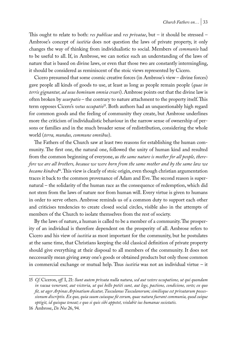This ought to relate to both: *res publicae* and *res privatae*, but – it should be stressed – Ambrose's concept of *iustitia* does not question the laws of private property, it only changes the way of thinking from individualistic to social. Members of *communio* had to be useful to all. If, in Ambrose, we can notice such an understanding of the laws of nature that is based on divine laws, or even that those two are constantly intermingling, it should be considered as reminiscent of the stoic views represented by Cicero.

Cicero presumed that some cosmic creative forces (in Ambrose's view – divine forces) gave people all kinds of goods to use, at least as long as people remain people (*quae in terris gignantur, ad usus hominum omnia creari*). Ambrose points out that the divine law is often broken by *usurpatio* – the contrary to nature attachment to the property itself. This term opposes Cicero's *vetus occupatio*15. Both authors had an unquestionably high regard for common goods and the feeling of community they create, but Ambrose underlines more the criticism of individualistic behaviour in the narrow sense of ownership of persons or families and in the much broader sense of redistribution, considering the whole world (*terra, mundus, commune omnibus*).

The Fathers of the Church saw at least two reasons for establishing the human community. The first one, the natural one, followed the unity of human kind and resulted from the common beginning of everyone, as *the same nature is mother for all people, therefore we are all brothers, because we were born from the same mother and by the same law we became kindred*16. This view is clearly of stoic origin, even though christian argumentation traces it back to the common provenance of Adam and Eve. The second reason is supernatural – the solidarity of the human race as the consequence of redemption, which did not stem from the laws of nature nor from human will. Every virtue is given to humans in order to serve others. Ambrose reminds us of a common duty to support each other and criticises tendencies to create closed social circles, visible also in the attempts of members of the Church to isolate themselves from the rest of society.

By the laws of nature, a human is called to be a member of a community. The prosperity of an individual is therefore dependent on the prosperity of all. Ambrose refers to Cicero and his view of *iustitia* as most important for the community, but he postulates at the same time, that Christians keeping the old classical definition of private property should give everything at their disposal to all members of the community. It does not neccessarily mean giving away one's goods or obtained products but only those common in commercial exchange or mutual help. Thus *iustitia* was not an individual virtue – it

<sup>15</sup> *Cf*. Ciceron, *off.* I, 21: *Sunt autem privata nulla natura, sed aut vetere occupatione, ut qui quondam in vacua venerunt, aut victoria, ut qui bello potiti sunt, aut lege, pactione, condicione, sorte; ex quo fit, ut ager Arpinas Arpinatium dicatur, Tusculanus Tusculanorum; similisque est privatarum possessionum discriptio. Ex quo, quia suum cuiusque fit eorum, quae natura fuerant communia, quod cuique optigit, id quisque teneat; e quo si quis sibi appetet, violabit ius humanae societatis.*

<sup>16</sup> Ambrose, *De Noe* 26, 94.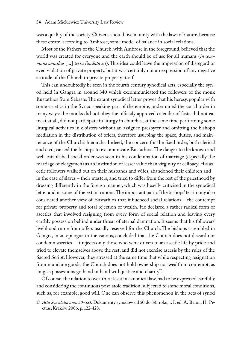was a quality of the society. Citizens should live in unity with the laws of nature, because these create, according to Ambrose, some model of balance in social relations.

Most of the Fathers of the Church, with Ambrose in the foreground, believed that the world was created for everyone and the earth should be of use for all humans (*in commune omnibus* [...] *terra fundata est*). This idea could leave the impression of disregard or even violation of private property, but it was certainly not an expression of any negative attitude of the Church to private property itself.

This can undoubtedly be seen in the fourth century synodical acts, especially the synod held in Gangra in around 340 which excommunicated the followers of the monk Eustathios from Sebaste. The extant synodical letter proves that his heresy, popular with some ascetics in the Syriac speaking part of the empire, undermined the social order in many ways: the monks did not obey the officialy approved calendar of fasts, did not eat meat at all, did not participate in liturgy in churches, at the same time performing some liturgical activities in cloisters without an assigned presbyter and omitting the bishop's mediation in the distribution of offers, therefore usurping the space, duties, and maintenance of the Church's hierarchs. Indeed, the concern for the fixed order, both clerical and civil, caused the bishops to excomunicate Eustathios. The danger to the known and well-established social order was seen in his condemnation of marriage (especially the marriage of clergymen) as an institution of lesser value than virginity or celibacy. His ascetic followers walked out on their husbands and wifes, abandoned their children and – in the case of slaves – their masters, and tried to differ from the rest of the priesthood by dressing differently in the foreign manner, which was heavily criticised in the synodical letter and in some of the extant canons. The important part of the bishops' testimony also considered another view of Eustathios that influenced social relations – the contempt for private property and total rejection of wealth. He declared a rather radical form of ascetics that involved resigning from every form of social relation and leaving every earthly possession behind under threat of eternal damnation. It seems that his followers' livelihood came from offers usually reserved for the Church. The bishops assembled in Gangra, in an epilogue to the canons, concluded that the Church does not discard nor condemn ascetics – it rejects only those who were driven to an ascetic life by pride and tried to elevate themselves above the rest, and did not exercise ascesis by the rules of the Sacred Script. However, they stressed at the same time that while respecting resignation from mundane goods, the Church does not hold ownership nor wealth in contempt, as long as possessions go hand in hand with justice and charity<sup>17</sup>.

Of course, the relation to wealth, at least in canonical law, had to be expressed carefully and considering the continuous post-stoic tradition, subjected to some moral conditions, such as, for example, good will. One can observe this phenomenon in the acts of synod

<sup>17</sup> *Acta Synodalia ann. 50–381.* Dokumenty synodów od 50 do 381 roku, t. I, ed. A. Baron, H. Pietras, Kraków 2006, p. 122–128.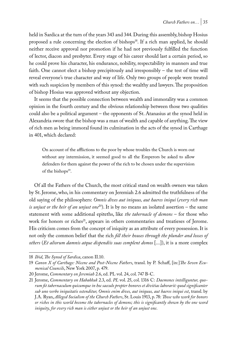held in Sardica at the turn of the years 343 and 344. During this assembly, bishop Hosius proposed a rule concerning the election of bishops<sup>18</sup>. If a rich man applied, he should neither receive approval nor promotion if he had not previously fulfilled the function of lector, diacon and presbyter. Every stage of his career should last a certain period, so he could prove his character, his endurance, nobility, respectability in manners and true faith. One cannot elect a bishop precipitously and irresponsibly – the test of time will reveal everyone's true character and way of life. Only two groups of people were treated with such suspicion by members of this synod: the wealthy and lawyers. The proposition of bishop Hosius was approved without any objection.

It seems that the possible connection between wealth and immorality was a common opinion in the fourth century and the obvious relationship between those two qualities could also be a political argument – the opponents of St. Atanasius at the synod held in Alexandria swore that the bishop was a man of wealth and capable of anything. The view of rich men as being immoral found its culmination in the acts of the synod in Carthage in 401, which declared:

On account of the afflictions to the poor by whose troubles the Church is worn out without any intermission, it seemed good to all the Emperors be asked to allow defenders for them against the power of the rich to be chosen under the supervision of the bishops<sup>19</sup>.

Of all the Fathers of the Church, the most critical stand on wealth owners was taken by St. Jerome, who, in his commentary on Jeremiah 2.6 admitted the truthfulness of the old saying of the philosophers: *Omnis dives aut iniquus, aut haeres iniqui* (*every rich man is unjust or the heir of an unjust one*20). It is by no means an isolated assertion – the same statement with some additional epiteths, like *the tabernacle of demons* – for those who work for honors or riches<sup>21</sup>, appears in others commentaries and treatieses of Jerome. His criticism comes from the concept of iniquity as an attribute of every possession. It is not only the common belief that the rich *fill their houses through the plunder and losses of others* (*Et aliorum damnis atque dispendiis suas complent domos* [...]), it is a more complex

<sup>18</sup> *Ibid*, *The Synod of Sardica*, canon II.10.

<sup>19</sup> *Canon X of Carthage: Nicene and Post-Nicene Fathers*, transl. by P. Schaff, [in:]*The Seven Ecumenical Councils*, New York 2007, p. 479.

<sup>20</sup> Jerome, *Commentary on Jeremiah* 2.6, ed. PL vol. 24, col. 747 B-C.

<sup>21</sup> Jerome, *Commentary on Habakkuk* 2.3, ed. *PL* vol. 25, col. 1316 C: *Daemones intelliguntur, quorum fit tabernaculum quicumque in hoc saeculo propter honores et divitias laborarit: quod significanter sub uno verbo iniquitatis ostenditur, Omnis enim dives, aut iniquus, aut haeres iniqui est*, transl. by J.A. Ryan, *Alleged Socialism of the Church Fathers*, St. Louis 1913, p. 78: *Those who work for honors or riches in this world become the tabernacles of demons; this is significantly shown by the one word iniquity, for every rich man is either unjust or the heir of an unjust one*.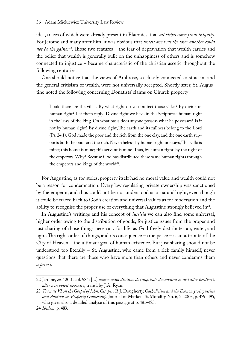idea, traces of which were already present in Platonics, that *all riches come from iniquity*. For Jerome and many after him, it was obvious that *unless one was the loser another could*  not be the gainer<sup>22</sup>. Those two features – the fear of depravation that wealth carries and the belief that wealth is generally bulit on the unhappiness of others and is somehow connected to injustice – became characteristic of the christian ascetic throughout the following centuries.

One should notice that the views of Ambrose, so closely connected to stoicism and the general critisism of wealth, were not universally accepted. Shortly after, St. Augustine noted the following concerning Donatists' claims on Church property:

Look, there are the villas. By what right do you protect those villas? By divine or human right? Let them reply: Divine right we have in the Scriptures; human right in the laws of the king. On what basis does anyone possess what he possesses? Is it not by human right? By divine right, The earth and its fullness belong to the Lord (Ps. 24,1). God made the poor and the rich from the one clay, and the one earth supports both the poor and the rich. Nevertheless, by human right one says, This villa is mine; this house is mine; this servant is mine. Thus, by human right, by the right of the emperors. Why? Because God has distributed these same human rights through the emperors and kings of the world<sup>23</sup>.

For Augustine, as for stoics, property itself had no moral value and wealth could not be a reason for condemnation. Every law regulating private ownership was sanctioned by the emperor, and thus could not be not understood as a 'natural' right, even though it could be traced back to God's creation and universal values as for moderation and the ability to recognise the proper use of everything that Augustine strongly believed in $24$ .

In Augustine's writings and his concept of *iustitia* we can also find some universal, higher order owing to the distribution of goods, for justice issues from the proper and just sharing of those things necessary for life, as God freely distributes air, water, and light. The right order of things, and its consequence – true peace – is an attribute of the City of Heaven – the ultimate goal of human existence. But just sharing should not be understood too literally – St. Augustine, who came from a rich family himself, never questions that there are those who have more than others and never condemns them *a priori*:

<sup>22</sup> Jerome, *ep.* 120.1, col. 984: [...] *omnes enim divitiae de iniquitate descendunt et nisi alter perdierit, alter non potest invenire*, transl. by J.A. Ryan.

<sup>23</sup> *Tractate VI on the Gospel of John*. *Cit. per:* R.J. Dougherty, *Catholicism and the Economy: Augustine and Aquinas on Property Ownership*, Journal of Markets & Morality No. 6, 2, 2003, p. 479–495, who gives also a detailed analyse of this passage at p. 481–483.

<sup>24</sup> *Ibidem*, p. 483.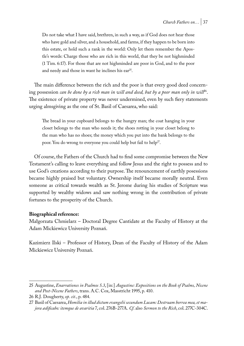Do not take what I have said, brethren, in such a way, as if God does not hear those who have gold and silver, and a household, and farms, if they happen to be born into this estate, or hold such a rank in the world: Only let them remember the Apostle's words: Charge those who are rich in this world, that they be not highminded (1 Tim. 6:17). For those that are not highminded are poor in God, and to the poor and needy and those in want he inclines his ear<sup>25</sup>.

The main difference between the rich and the poor is that every good deed concerning possession *can be done by a rich man in will and deed, but by a poor man only in will<sup>p6</sup>.* The existence of private property was never undermined, even by such fiery statements urging almsgiving as the one of St. Basil of Caesarea, who said:

The bread in your cupboard belongs to the hungry man; the coat hanging in your closet belongs to the man who needs it; the shoes rotting in your closet belong to the man who has no shoes; the money which you put into the bank belongs to the poor. You do wrong to everyone you could help but fail to help<sup>27</sup>.

Of course, the Fathers of the Church had to find some compromise between the New Testament's calling to leave everything and follow Jesus and the right to possess and to use God's creations according to their purpose. The renouncement of earthly posessions became highly praised but voluntary. Ownership itself became morally neutral. Even someone as critical towards wealth as St. Jerome during his studies of Scripture was supported by wealthy widows and saw nothing wrong in the contribution of private fortunes to the prosperity of the Church.

#### **Biographical reference:**

Małgorzata Chmielarz – Doctoral Degree Cantidate at the Faculty of History at the Adam Mickiewicz University Poznań.

Kazimierz Ilski – Professor of History, Dean of the Faculty of History of the Adam Mickiewicz University Poznań.

<sup>25</sup> Augustine, *Enarrationes in Psalmos 5.3*, [in:] *Augustine: Expositions on the Book of Psalms, Nicene and Post-Nicene Fathers*, trans. A.C. Cox, Masstricht 1995, p. 410.

<sup>26</sup> R.J. Dougherty, *op. cit.*, p. 484.

<sup>27</sup> Basil of Caesarea, *Homilia in illud dictum evangelii secundum Lucam: Destruam horrea mea, et majora ædificabo: itemque de avaritia* 7, col. 276B-277A. *Cf*. also *Sermon to the Rich*, col. 277C-304C.